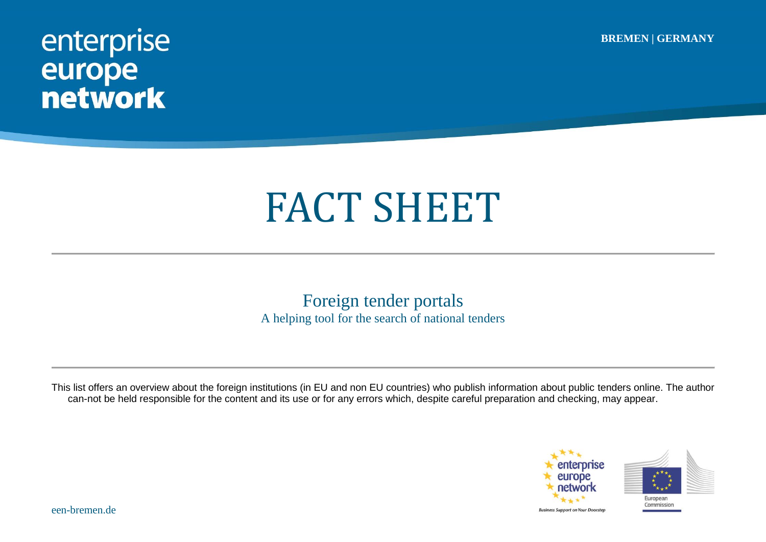**BREMEN | GERMANY**

## enterprise<br>
europe<br>
network

## FACT SHEET

Foreign tender portals A helping tool for the search of national tenders

This list offers an overview about the foreign institutions (in EU and non EU countries) who publish information about public tenders online. The author can-not be held responsible for the content and its use or for any errors which, despite careful preparation and checking, may appear.

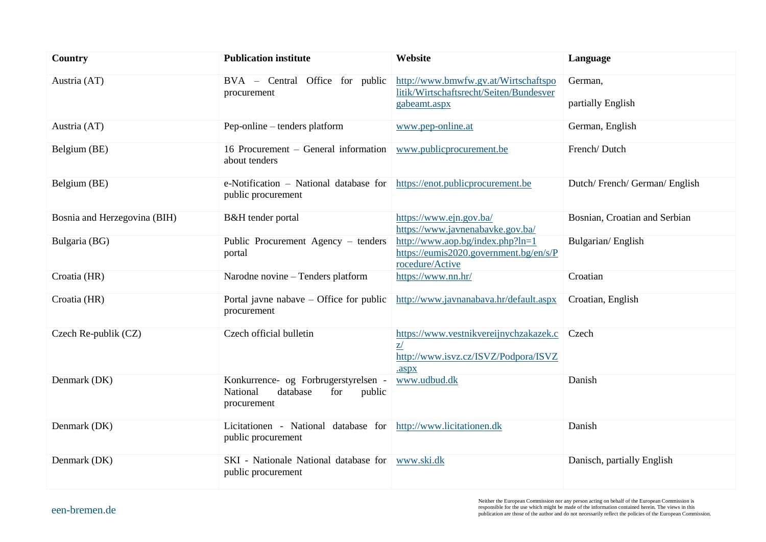| Country                      | <b>Publication institute</b>                                                                 | Website                                                                                         | Language                      |
|------------------------------|----------------------------------------------------------------------------------------------|-------------------------------------------------------------------------------------------------|-------------------------------|
| Austria (AT)                 | BVA - Central Office for public<br>procurement                                               | http://www.bmwfw.gv.at/Wirtschaftspo<br>litik/Wirtschaftsrecht/Seiten/Bundesver<br>gabeamt.aspx | German,<br>partially English  |
| Austria (AT)                 | Pep-online – tenders platform                                                                | www.pep-online.at                                                                               | German, English               |
| Belgium (BE)                 | 16 Procurement – General information<br>about tenders                                        | www.publicprocurement.be                                                                        | French/Dutch                  |
| Belgium (BE)                 | e-Notification – National database for<br>public procurement                                 | https://enot.publicprocurement.be                                                               | Dutch/French/German/English   |
| Bosnia and Herzegovina (BIH) | B&H tender portal                                                                            | https://www.ejn.gov.ba/<br>https://www.javnenabavke.gov.ba/                                     | Bosnian, Croatian and Serbian |
| Bulgaria (BG)                | Public Procurement Agency – tenders<br>portal                                                | http://www.aop.bg/index.php?ln=1<br>https://eumis2020.government.bg/en/s/P<br>rocedure/Active   | Bulgarian/English             |
| Croatia (HR)                 | Narodne novine - Tenders platform                                                            | https://www.nn.hr/                                                                              | Croatian                      |
| Croatia (HR)                 | Portal javne nabave $-$ Office for public<br>procurement                                     | http://www.javnanabava.hr/default.aspx                                                          | Croatian, English             |
| Czech Re-publik (CZ)         | Czech official bulletin                                                                      | https://www.vestnikvereijnychzakazek.c<br>z/<br>http://www.isvz.cz/ISVZ/Podpora/ISVZ<br>.aspx   | Czech                         |
| Denmark (DK)                 | Konkurrence- og Forbrugerstyrelsen -<br>National<br>database<br>for<br>public<br>procurement | www.udbud.dk                                                                                    | Danish                        |
| Denmark (DK)                 | Licitationen - National database for<br>public procurement                                   | http://www.licitationen.dk                                                                      | Danish                        |
| Denmark (DK)                 | SKI - Nationale National database for<br>public procurement                                  | www.ski.dk                                                                                      | Danisch, partially English    |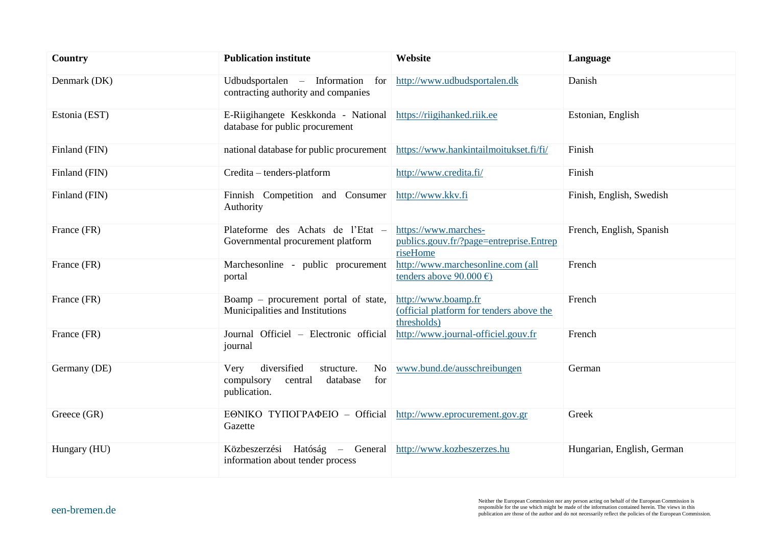| Country       | <b>Publication institute</b>                                                                                    | Website                                                                        | Language                   |
|---------------|-----------------------------------------------------------------------------------------------------------------|--------------------------------------------------------------------------------|----------------------------|
| Denmark (DK)  | Udbudsportalen – Information<br>for<br>contracting authority and companies                                      | http://www.udbudsportalen.dk                                                   | Danish                     |
| Estonia (EST) | E-Riigihangete Keskkonda - National<br>database for public procurement                                          | https://riigihanked.riik.ee                                                    | Estonian, English          |
| Finland (FIN) | national database for public procurement                                                                        | https://www.hankintailmoitukset.fi/fi/                                         | Finish                     |
| Finland (FIN) | Credita - tenders-platform                                                                                      | http://www.credita.fi/                                                         | Finish                     |
| Finland (FIN) | Finnish Competition and Consumer<br>Authority                                                                   | http://www.kkv.fi                                                              | Finish, English, Swedish   |
| France (FR)   | Plateforme des Achats de l'Etat -<br>Governmental procurement platform                                          | https://www.marches-<br>publics.gouv.fr/?page=entreprise.Entrep<br>riseHome    | French, English, Spanish   |
| France (FR)   | Marchesonline - public procurement<br>portal                                                                    | http://www.marchesonline.com (all<br>tenders above $90.000 \in$                | French                     |
| France (FR)   | Boamp – procurement portal of state,<br>Municipalities and Institutions                                         | http://www.boamp.fr<br>(official platform for tenders above the<br>thresholds) | French                     |
| France (FR)   | Journal Officiel - Electronic official<br>journal                                                               | http://www.journal-officiel.gouv.fr                                            | French                     |
| Germany (DE)  | diversified<br>structure.<br>N <sub>o</sub><br>Very<br>compulsory<br>for<br>central<br>database<br>publication. | www.bund.de/ausschreibungen                                                    | German                     |
| Greece (GR)   | EΘΝΙΚΟ ΤΥΠΟΓΡΑΦΕΙΟ - Official<br>Gazette                                                                        | http://www.eprocurement.gov.gr                                                 | Greek                      |
| Hungary (HU)  | Közbeszerzési Hatóság –<br>General<br>information about tender process                                          | http://www.kozbeszerzes.hu                                                     | Hungarian, English, German |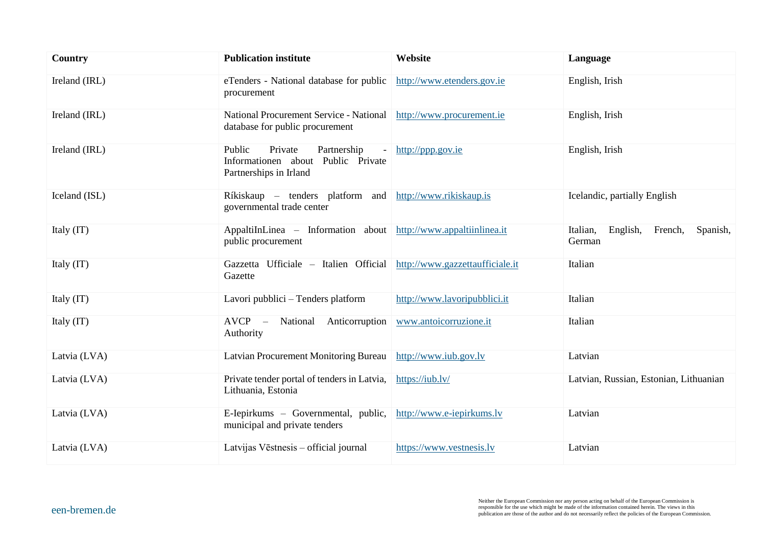| Country       | <b>Publication institute</b>                                                                           | Website                         | Language                                              |
|---------------|--------------------------------------------------------------------------------------------------------|---------------------------------|-------------------------------------------------------|
| Ireland (IRL) | eTenders - National database for public<br>procurement                                                 | http://www.etenders.gov.ie      | English, Irish                                        |
| Ireland (IRL) | National Procurement Service - National<br>database for public procurement                             | http://www.procurement.ie       | English, Irish                                        |
| Ireland (IRL) | Private<br>Partnership<br>Public<br>Informationen<br>about<br>Public Private<br>Partnerships in Irland | http://ppp.gov.ie               | English, Irish                                        |
| Iceland (ISL) | Ríkiskaup – tenders platform and<br>governmental trade center                                          | http://www.rikiskaup.is         | Icelandic, partially English                          |
| Italy (IT)    | AppaltiInLinea – Information about<br>public procurement                                               | http://www.appaltiinlinea.it    | English,<br>French,<br>Spanish,<br>Italian,<br>German |
| Italy (IT)    | Gazzetta Ufficiale - Italien Official<br>Gazette                                                       | http://www.gazzettaufficiale.it | Italian                                               |
| Italy (IT)    | Lavori pubblici - Tenders platform                                                                     | http://www.lavoripubblici.it    | Italian                                               |
| Italy (IT)    | $AVCP -$<br>National<br>Anticorruption<br>Authority                                                    | www.antoicorruzione.it          | Italian                                               |
| Latvia (LVA)  | Latvian Procurement Monitoring Bureau                                                                  | http://www.iub.gov.lv           | Latvian                                               |
| Latvia (LVA)  | Private tender portal of tenders in Latvia,<br>Lithuania, Estonia                                      | https://iub.lv/                 | Latvian, Russian, Estonian, Lithuanian                |
| Latvia (LVA)  | E-Iepirkums - Governmental, public,<br>municipal and private tenders                                   | http://www.e-iepirkums.lv       | Latvian                                               |
| Latvia (LVA)  | Latvijas Vēstnesis - official journal                                                                  | https://www.vestnesis.lv        | Latvian                                               |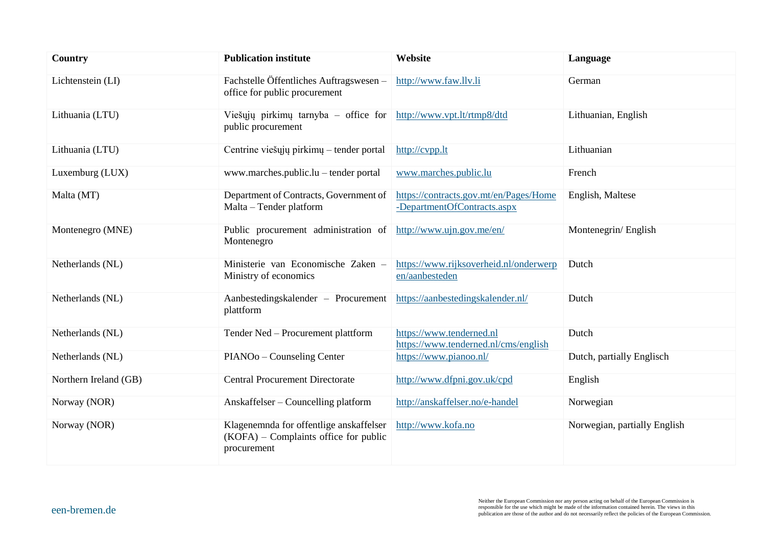| Country               | <b>Publication institute</b>                                                                      | Website                                                               | Language                     |
|-----------------------|---------------------------------------------------------------------------------------------------|-----------------------------------------------------------------------|------------------------------|
| Lichtenstein (LI)     | Fachstelle Öffentliches Auftragswesen -<br>office for public procurement                          | http://www.faw.llv.li                                                 | German                       |
| Lithuania (LTU)       | Viešųjų pirkimų tarnyba – office for<br>public procurement                                        | http://www.vpt.lt/rtmp8/dtd                                           | Lithuanian, English          |
| Lithuania (LTU)       | Centrine viešųjų pirkimų – tender portal                                                          | http://cvpp.lt                                                        | Lithuanian                   |
| Luxemburg (LUX)       | www.marches.public.lu – tender portal                                                             | www.marches.public.lu                                                 | French                       |
| Malta (MT)            | Department of Contracts, Government of<br>Malta - Tender platform                                 | https://contracts.gov.mt/en/Pages/Home<br>-DepartmentOfContracts.aspx | English, Maltese             |
| Montenegro (MNE)      | Public procurement administration of<br>Montenegro                                                | http://www.ujn.gov.me/en/                                             | Montenegrin/English          |
| Netherlands (NL)      | Ministerie van Economische Zaken -<br>Ministry of economics                                       | https://www.rijksoverheid.nl/onderwerp<br>en/aanbesteden              | Dutch                        |
| Netherlands (NL)      | Aanbestedingskalender – Procurement<br>plattform                                                  | https://aanbestedingskalender.nl/                                     | Dutch                        |
| Netherlands (NL)      | Tender Ned - Procurement plattform                                                                | https://www.tenderned.nl<br>https://www.tenderned.nl/cms/english      | Dutch                        |
| Netherlands (NL)      | PIANOo - Counseling Center                                                                        | https://www.pianoo.nl/                                                | Dutch, partially Englisch    |
| Northern Ireland (GB) | <b>Central Procurement Directorate</b>                                                            | http://www.dfpni.gov.uk/cpd                                           | English                      |
| Norway (NOR)          | Anskaffelser – Councelling platform                                                               | http://anskaffelser.no/e-handel                                       | Norwegian                    |
| Norway (NOR)          | Klagenemnda for offentlige anskaffelser<br>$(KOFA)$ – Complaints office for public<br>procurement | http://www.kofa.no                                                    | Norwegian, partially English |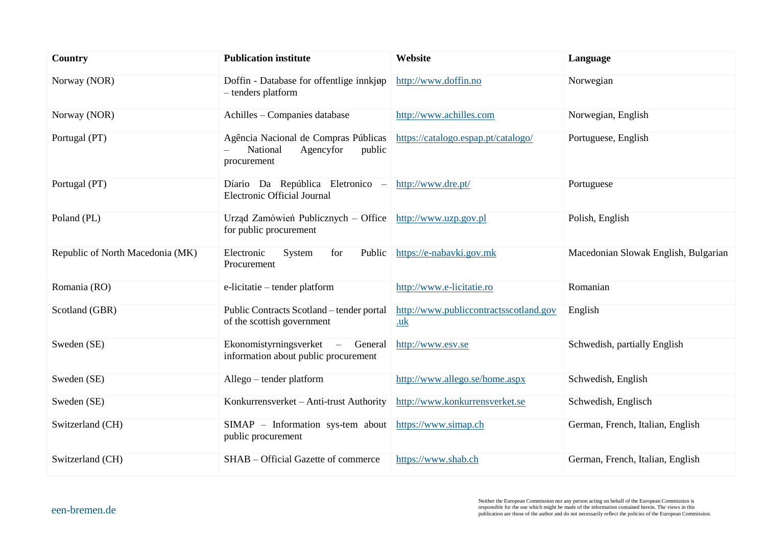| Country                          | <b>Publication institute</b>                                                           | Website                                        | Language                             |
|----------------------------------|----------------------------------------------------------------------------------------|------------------------------------------------|--------------------------------------|
| Norway (NOR)                     | Doffin - Database for offentlige innkjøp<br>- tenders platform                         | http://www.doffin.no                           | Norwegian                            |
| Norway (NOR)                     | Achilles - Companies database                                                          | http://www.achilles.com                        | Norwegian, English                   |
| Portugal (PT)                    | Agência Nacional de Compras Públicas<br>National<br>Agencyfor<br>public<br>procurement | https://catalogo.espap.pt/catalogo/            | Portuguese, English                  |
| Portugal (PT)                    | Díario Da República Eletronico -<br>Electronic Official Journal                        | http://www.dre.pt/                             | Portuguese                           |
| Poland (PL)                      | Urząd Zamówień Publicznych – Office http://www.uzp.gov.pl<br>for public procurement    |                                                | Polish, English                      |
| Republic of North Macedonia (MK) | System<br>Electronic<br>for<br>Public<br>Procurement                                   | https://e-nabavki.gov.mk                       | Macedonian Slowak English, Bulgarian |
| Romania (RO)                     | e-licitatie – tender platform                                                          | http://www.e-licitatie.ro                      | Romanian                             |
| Scotland (GBR)                   | Public Contracts Scotland - tender portal<br>of the scottish government                | http://www.publiccontractsscotland.gov<br>$uk$ | English                              |
| Sweden (SE)                      | Ekonomistyrningsverket –<br>General<br>information about public procurement            | http://www.esv.se                              | Schwedish, partially English         |
| Sweden (SE)                      | Allego – tender platform                                                               | http://www.allego.se/home.aspx                 | Schwedish, English                   |
| Sweden (SE)                      | Konkurrensverket - Anti-trust Authority                                                | http://www.konkurrensverket.se                 | Schwedish, Englisch                  |
| Switzerland (CH)                 | SIMAP - Information sys-tem about<br>public procurement                                | https://www.simap.ch                           | German, French, Italian, English     |
| Switzerland (CH)                 | SHAB – Official Gazette of commerce                                                    | https://www.shab.ch                            | German, French, Italian, English     |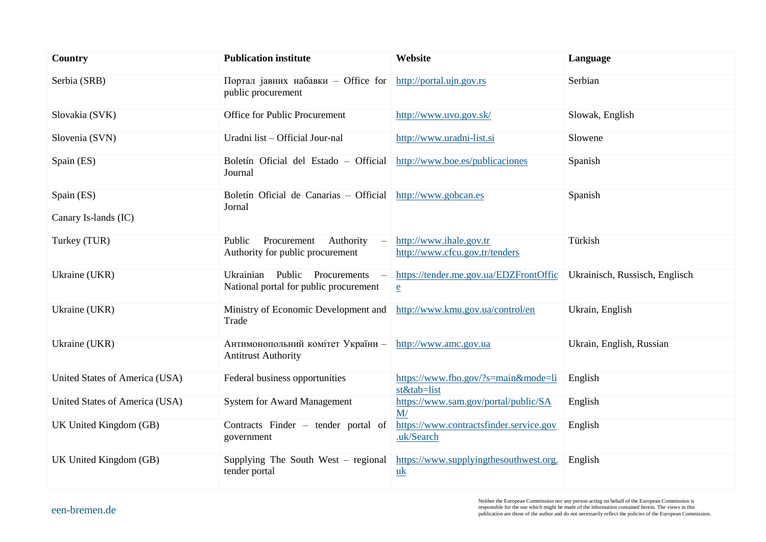| Country                            | <b>Publication institute</b>                                                                              | Website                                                   | Language                       |
|------------------------------------|-----------------------------------------------------------------------------------------------------------|-----------------------------------------------------------|--------------------------------|
| Serbia (SRB)                       | Портал јавних набавки - Office for<br>public procurement                                                  | http://portal.ujn.gov.rs                                  | Serbian                        |
| Slovakia (SVK)                     | Office for Public Procurement                                                                             | http://www.uvo.gov.sk/                                    | Slowak, English                |
| Slovenia (SVN)                     | Uradni list - Official Jour-nal                                                                           | http://www.uradni-list.si                                 | Slowene                        |
| Spain (ES)                         | Boletín Oficial del Estado - Official<br>Journal                                                          | http://www.boe.es/publicaciones                           | Spanish                        |
| Spain (ES)<br>Canary Is-lands (IC) | Boletín Oficial de Canarias - Official<br>Jornal                                                          | http://www.gobcan.es                                      | Spanish                        |
| Turkey (TUR)                       | Public<br>Procurement<br>Authority<br>$\overline{\phantom{0}}$<br>Authority for public procurement        | http://www.ihale.gov.tr<br>http://www.cfcu.gov.tr/tenders | Türkish                        |
| Ukraine (UKR)                      | Ukrainian<br>Public<br>Procurements<br>$\overline{\phantom{a}}$<br>National portal for public procurement | https://tender.me.gov.ua/EDZFrontOffic<br>$\underline{e}$ | Ukrainisch, Russisch, Englisch |
| Ukraine (UKR)                      | Ministry of Economic Development and<br>Trade                                                             | http://www.kmu.gov.ua/control/en                          | Ukrain, English                |
| Ukraine (UKR)                      | Антимонопольний комітет України -<br><b>Antitrust Authority</b>                                           | http://www.amc.gov.ua                                     | Ukrain, English, Russian       |
| United States of America (USA)     | Federal business opportunities                                                                            | https://www.fbo.gov/?s=main&mode=li<br>st&tab=list        | English                        |
| United States of America (USA)     | <b>System for Award Management</b>                                                                        | https://www.sam.gov/portal/public/SA<br>M/                | English                        |
| UK United Kingdom (GB)             | Contracts Finder – tender portal of<br>government                                                         | https://www.contractsfinder.service.gov<br>.uk/Search     | English                        |
| UK United Kingdom (GB)             | Supplying The South West $-$ regional<br>tender portal                                                    | https://www.supplyingthesouthwest.org.<br>uk              | English                        |